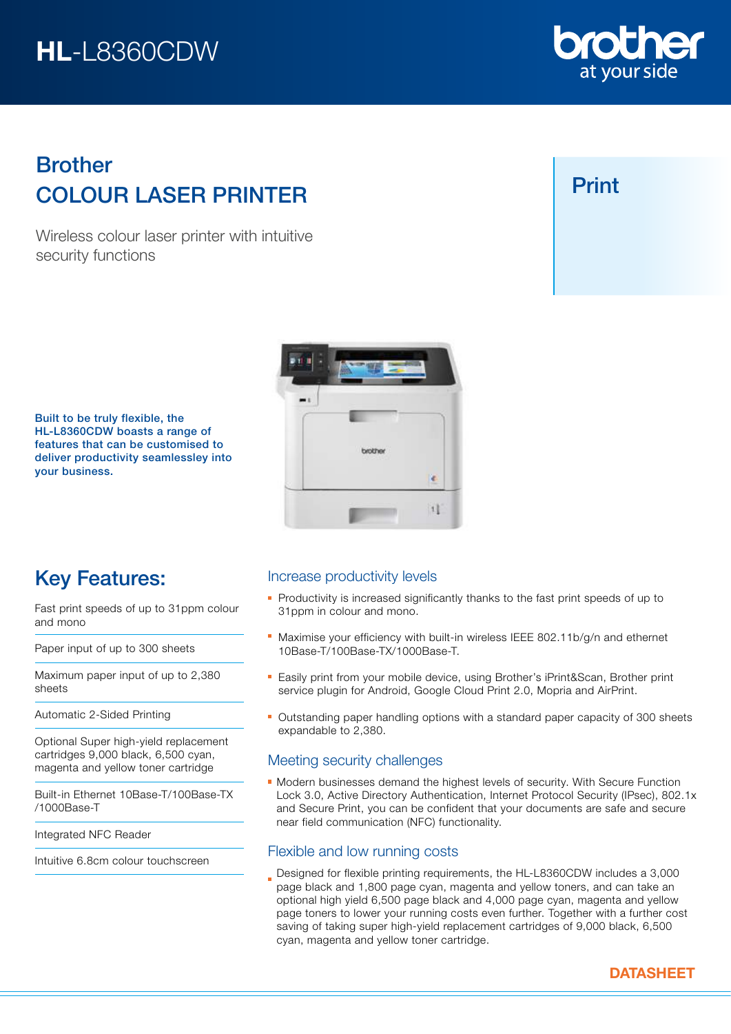# HL-L8360CDW

## COLOUR LASER PRINTER Brother

Wireless colour laser printer with intuitive security functions



Print



Built to be truly flexible, the HL-L8360CDW boasts a range of features that can be customised to deliver productivity seamlessley into your business.

## Key Features:

Fast print speeds of up to 31ppm colour and mono

Paper input of up to 300 sheets

Maximum paper input of up to 2,380 sheets

Automatic 2-Sided Printing

Optional Super high-yield replacement cartridges 9,000 black, 6,500 cyan, magenta and yellow toner cartridge

Built-in Ethernet 10Base-T/100Base-TX /1000Base-T

Integrated NFC Reader

Intuitive 6.8cm colour touchscreen

## Increase productivity levels

- Productivity is increased significantly thanks to the fast print speeds of up to 31ppm in colour and mono.
- **Maximise your efficiency with built-in wireless IEEE 802.11b/g/n and ethernet** 10Base-T/100Base-TX/1000Base-T.
- **Easily print from your mobile device, using Brother's iPrint&Scan, Brother print** service plugin for Android, Google Cloud Print 2.0, Mopria and AirPrint.
- Outstanding paper handling options with a standard paper capacity of 300 sheets expandable to 2,380.

## Meeting security challenges

**Modern businesses demand the highest levels of security. With Secure Function** Lock 3.0, Active Directory Authentication, Internet Protocol Security (IPsec), 802.1x and Secure Print, you can be confident that your documents are safe and secure near field communication (NFC) functionality.

## Flexible and low running costs

Designed for flexible printing requirements, the HL-L8360CDW includes a 3,000 page black and 1,800 page cyan, magenta and yellow toners, and can take an optional high yield 6,500 page black and 4,000 page cyan, magenta and yellow page toners to lower your running costs even further. Together with a further cost saving of taking super high-yield replacement cartridges of 9,000 black, 6,500 cyan, magenta and yellow toner cartridge.



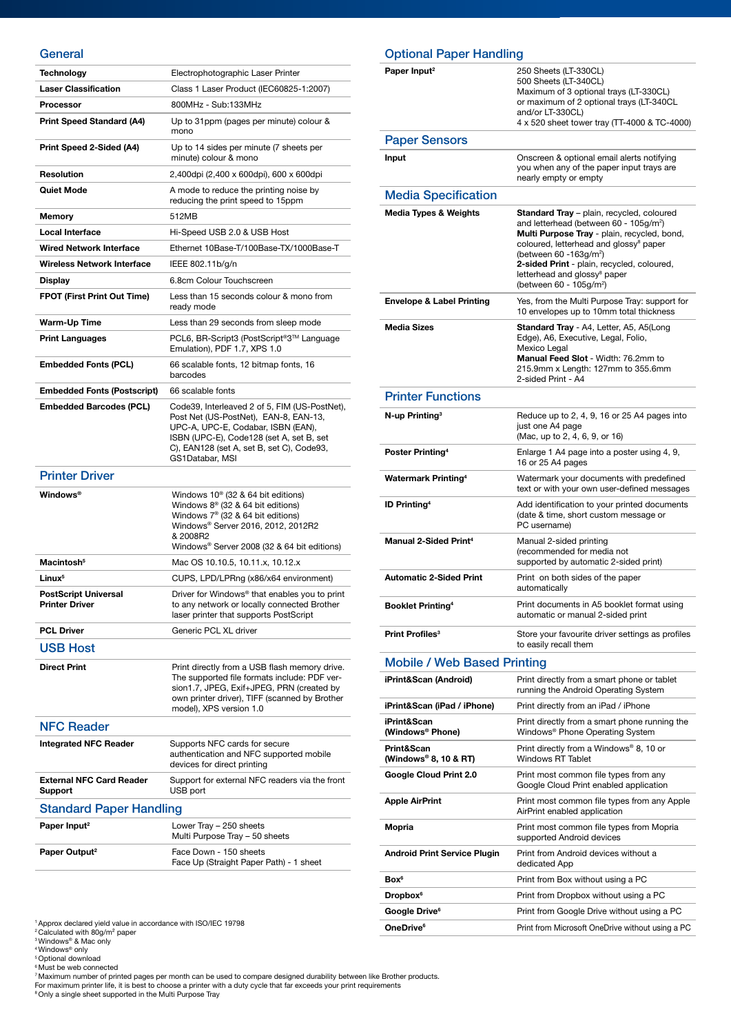## General

| ueneral                                                    |                                                                                                                                                                                                                                          |
|------------------------------------------------------------|------------------------------------------------------------------------------------------------------------------------------------------------------------------------------------------------------------------------------------------|
| Technology                                                 | Electrophotographic Laser Printer                                                                                                                                                                                                        |
| <b>Laser Classification</b>                                | Class 1 Laser Product (IEC60825-1:2007)                                                                                                                                                                                                  |
| <b>Processor</b>                                           | 800MHz - Sub:133MHz                                                                                                                                                                                                                      |
| <b>Print Speed Standard (A4)</b>                           | Up to 31ppm (pages per minute) colour &<br>mono                                                                                                                                                                                          |
| Print Speed 2-Sided (A4)                                   | Up to 14 sides per minute (7 sheets per<br>minute) colour & mono                                                                                                                                                                         |
| <b>Resolution</b>                                          | 2,400dpi (2,400 x 600dpi), 600 x 600dpi                                                                                                                                                                                                  |
| <b>Quiet Mode</b>                                          | A mode to reduce the printing noise by<br>reducing the print speed to 15ppm                                                                                                                                                              |
| Memory                                                     | 512MB                                                                                                                                                                                                                                    |
| Local Interface                                            | Hi-Speed USB 2.0 & USB Host                                                                                                                                                                                                              |
| <b>Wired Network Interface</b>                             | Ethernet 10Base-T/100Base-TX/1000Base-T                                                                                                                                                                                                  |
| <b>Wireless Network Interface</b>                          | IEEE 802.11b/g/n                                                                                                                                                                                                                         |
| <b>Display</b>                                             | 6.8cm Colour Touchscreen                                                                                                                                                                                                                 |
| <b>FPOT (First Print Out Time)</b>                         | Less than 15 seconds colour & mono from<br>ready mode                                                                                                                                                                                    |
| Warm-Up Time                                               | Less than 29 seconds from sleep mode                                                                                                                                                                                                     |
| <b>Print Languages</b>                                     | PCL6, BR-Script3 (PostScript®3™ Language<br>Emulation), PDF 1.7, XPS 1.0                                                                                                                                                                 |
| <b>Embedded Fonts (PCL)</b>                                | 66 scalable fonts, 12 bitmap fonts, 16<br>barcodes                                                                                                                                                                                       |
| <b>Embedded Fonts (Postscript)</b>                         | 66 scalable fonts                                                                                                                                                                                                                        |
| <b>Embedded Barcodes (PCL)</b>                             | Code39, Interleaved 2 of 5, FIM (US-PostNet),<br>Post Net (US-PostNet), EAN-8, EAN-13,<br>UPC-A, UPC-E, Codabar, ISBN (EAN),<br>ISBN (UPC-E), Code128 (set A, set B, set<br>C), EAN128 (set A, set B, set C), Code93,<br>GS1Databar, MSI |
|                                                            |                                                                                                                                                                                                                                          |
| <b>Printer Driver</b>                                      |                                                                                                                                                                                                                                          |
| <b>Windows</b> <sup>®</sup>                                | Windows $10^{\circ}$ (32 & 64 bit editions)<br>Windows $8^{\circ}$ (32 & 64 bit editions)<br>Windows $7^{\circ}$ (32 & 64 bit editions)<br>Windows® Server 2016, 2012, 2012R2<br>& 2008R2<br>Windows® Server 2008 (32 & 64 bit editions) |
| Macintosh <sup>5</sup>                                     | Mac OS 10.10.5, 10.11.x, 10.12.x                                                                                                                                                                                                         |
| Linux <sup>5</sup>                                         | CUPS, LPD/LPRng (x86/x64 environment)                                                                                                                                                                                                    |
| <b>PostScript Universal</b><br>Printer Driver              | Driver for Windows <sup>®</sup> that enables you to print<br>to any network or locally connected Brother<br>laser printer that supports PostScript                                                                                       |
| <b>PCL Driver</b>                                          | Generic PCL XL driver                                                                                                                                                                                                                    |
| <b>USB Host</b>                                            |                                                                                                                                                                                                                                          |
| <b>Direct Print</b>                                        | Print directly from a USB flash memory drive.<br>The supported file formats include: PDF ver-<br>sion1.7, JPEG, Exif+JPEG, PRN (created by<br>own printer driver), TIFF (scanned by Brother<br>model), XPS version 1.0                   |
| <b>NFC Reader</b>                                          |                                                                                                                                                                                                                                          |
| <b>Integrated NFC Reader</b>                               | Supports NFC cards for secure<br>authentication and NFC supported mobile<br>devices for direct printing                                                                                                                                  |
| <b>External NFC Card Reader</b><br>Support                 | Support for external NFC readers via the front<br>USB port                                                                                                                                                                               |
|                                                            |                                                                                                                                                                                                                                          |
| <b>Standard Paper Handling</b><br>Paper Input <sup>2</sup> | Lower Tray - 250 sheets<br>Multi Purpose Tray - 50 sheets                                                                                                                                                                                |

| <b>Optional Paper Handling</b>       |                                                                                                                                                                                                                                                                                                                                                                             |  |
|--------------------------------------|-----------------------------------------------------------------------------------------------------------------------------------------------------------------------------------------------------------------------------------------------------------------------------------------------------------------------------------------------------------------------------|--|
| Paper Input <sup>2</sup>             | 250 Sheets (LT-330CL)<br>500 Sheets (LT-340CL)<br>Maximum of 3 optional trays (LT-330CL)<br>or maximum of 2 optional trays (LT-340CL<br>and/or LT-330CL)<br>4 x 520 sheet tower tray (TT-4000 & TC-4000)                                                                                                                                                                    |  |
| <b>Paper Sensors</b>                 |                                                                                                                                                                                                                                                                                                                                                                             |  |
| Input                                | Onscreen & optional email alerts notifying<br>you when any of the paper input trays are<br>nearly empty or empty                                                                                                                                                                                                                                                            |  |
| <b>Media Specification</b>           |                                                                                                                                                                                                                                                                                                                                                                             |  |
| <b>Media Types &amp; Weights</b>     | Standard Tray - plain, recycled, coloured<br>and letterhead (between 60 - 105g/m <sup>2</sup> )<br>Multi Purpose Tray - plain, recycled, bond,<br>coloured, letterhead and glossy <sup>8</sup> paper<br>(between 60 -163g/m <sup>2</sup> )<br>2-sided Print - plain, recycled, coloured,<br>letterhead and glossy <sup>8</sup> paper<br>(between 60 - 105g/m <sup>2</sup> ) |  |
| <b>Envelope &amp; Label Printing</b> | Yes, from the Multi Purpose Tray: support for<br>10 envelopes up to 10mm total thickness                                                                                                                                                                                                                                                                                    |  |
| <b>Media Sizes</b>                   | Standard Tray - A4, Letter, A5, A5(Long<br>Edge), A6, Executive, Legal, Folio,<br>Mexico Legal<br>Manual Feed Slot - Width: 76.2mm to<br>215.9mm x Length: 127mm to 355.6mm<br>2-sided Print - A4                                                                                                                                                                           |  |
| <b>Printer Functions</b>             |                                                                                                                                                                                                                                                                                                                                                                             |  |
| N-up Printing <sup>3</sup>           | Reduce up to 2, 4, 9, 16 or 25 A4 pages into<br>just one A4 page<br>(Mac, up to 2, 4, 6, 9, or 16)                                                                                                                                                                                                                                                                          |  |
| Poster Printing <sup>4</sup>         | Enlarge 1 A4 page into a poster using 4, 9,<br>16 or 25 A4 pages                                                                                                                                                                                                                                                                                                            |  |
| <b>Watermark Printing4</b>           | Watermark your documents with predefined<br>text or with your own user-defined messages                                                                                                                                                                                                                                                                                     |  |
| <b>ID Printing<sup>4</sup></b>       | Add identification to your printed documents<br>(date & time, short custom message or<br>PC username)                                                                                                                                                                                                                                                                       |  |
| Manual 2-Sided Print <sup>4</sup>    | Manual 2-sided printing<br>(recommended for media not<br>supported by automatic 2-sided print)                                                                                                                                                                                                                                                                              |  |
| <b>Automatic 2-Sided Print</b>       | Print on both sides of the paper<br>automatically                                                                                                                                                                                                                                                                                                                           |  |
| <b>Booklet Printing4</b>             | Print documents in A5 booklet format using<br>automatic or manual 2-sided print                                                                                                                                                                                                                                                                                             |  |
| Print Profiles <sup>3</sup>          | Store your favourite driver settings as profiles<br>to easily recall them                                                                                                                                                                                                                                                                                                   |  |
| <b>Mobile / Web Based Printing</b>   |                                                                                                                                                                                                                                                                                                                                                                             |  |
| iPrint&Scan (Android)                | Print directly from a smart phone or tablet<br>running the Android Operating System                                                                                                                                                                                                                                                                                         |  |
| iPrint&Scan (iPad / iPhone)          | Print directly from an iPad / iPhone                                                                                                                                                                                                                                                                                                                                        |  |
| iPrint&Scan<br>(Windows® Phone)      | Print directly from a smart phone running the<br>Windows <sup>®</sup> Phone Operating System                                                                                                                                                                                                                                                                                |  |
| Print&Scan<br>(Windows® 8, 10 & RT)  | Print directly from a Windows® 8, 10 or<br><b>Windows RT Tablet</b>                                                                                                                                                                                                                                                                                                         |  |
| Google Cloud Print 2.0               | Print most common file types from any<br>Google Cloud Print enabled application                                                                                                                                                                                                                                                                                             |  |
| <b>Apple AirPrint</b>                | Print most common file types from any Apple<br>AirPrint enabled application                                                                                                                                                                                                                                                                                                 |  |
| Mopria                               | Print most common file types from Mopria<br>supported Android devices                                                                                                                                                                                                                                                                                                       |  |
| <b>Android Print Service Plugin</b>  | Print from Android devices without a<br>dedicated App                                                                                                                                                                                                                                                                                                                       |  |
| Box <sup>6</sup>                     | Print from Box without using a PC                                                                                                                                                                                                                                                                                                                                           |  |
| <b>Dropbox</b> <sup>6</sup>          | Print from Dropbox without using a PC                                                                                                                                                                                                                                                                                                                                       |  |
| Google Drive <sup>6</sup>            | Print from Google Drive without using a PC                                                                                                                                                                                                                                                                                                                                  |  |

**OneDrive<sup>6</sup>** Print from Microsoft OneDrive without using a PC

' Approx declared yield value in accordance with ISO/IEC 19798<br><sup>2</sup> Calculated with 80g/m<sup>2</sup> paper<br><sup>4</sup> Windows® & Mac only<br><sup>4</sup> Windows® only<br><sup>5</sup> Optional download

° Must be web connected<br><sup>7</sup> Maximum number of printed pages per month can be used to compare designed durability between like Brother products.<br>For maximum printer life, it is best to choose a printer with a duty cycle th